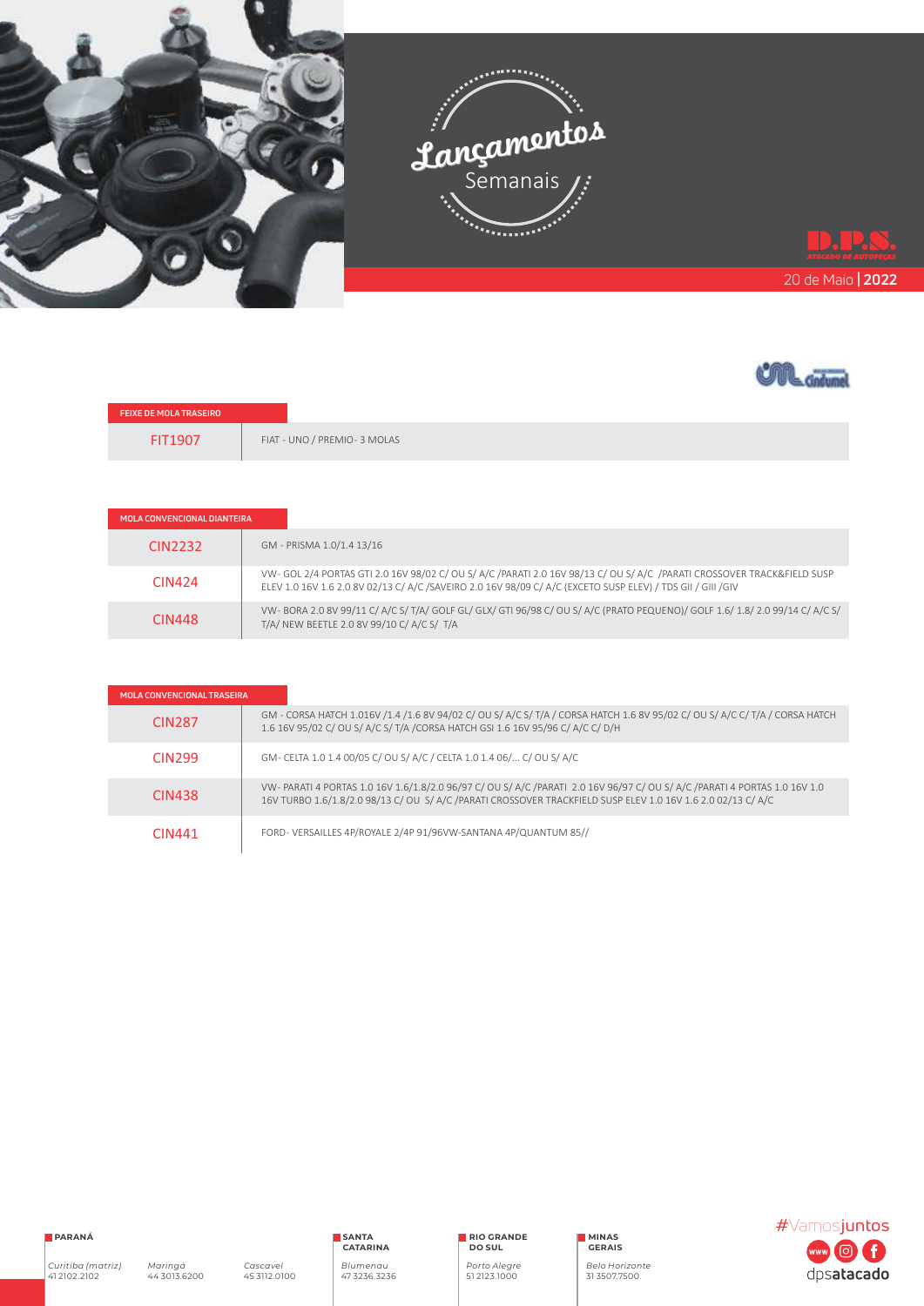



| <b>FEIXE DE MOLA TRASEIRO</b> |                             |
|-------------------------------|-----------------------------|
| FIT1907                       | FIAT - UNO / PREMIO-3 MOLAS |

| MOLA CONVENCIONAL DIANTEIRA |                                                                                                                                                                                                                                        |
|-----------------------------|----------------------------------------------------------------------------------------------------------------------------------------------------------------------------------------------------------------------------------------|
| CIN <sub>2232</sub>         | GM - PRISMA 1.0/1.4 13/16                                                                                                                                                                                                              |
| CIN424                      | VW- GOL 2/4 PORTAS GTI 2.0 16V 98/02 C/ OU S/ A/C /PARATI 2.0 16V 98/13 C/ OU S/ A/C /PARATI CROSSOVER TRACK&FIELD SUSP<br>ELEV 1.0 16V 1.6 2.0 8V 02/13 C/ A/C /SAVEIRO 2.0 16V 98/09 C/ A/C (EXCETO SUSP ELEV) / TDS GII / GIII /GIV |
| <b>CIN448</b>               | VW-BORA 2.0 8V 99/11 C/A/C S/T/A/GOLF GL/GLX/GTI 96/98 C/OU S/A/C (PRATO PEQUENO)/GOLF 1.6/1.8/2.0 99/14 C/A/C S/<br>T/A/ NEW BEETLE 2.0 8V 99/10 C/ A/C S/ T/A                                                                        |

| <b>MOLA CONVENCIONAL TRASEIRA</b> |                                                                                                                                                                                                                                           |  |
|-----------------------------------|-------------------------------------------------------------------------------------------------------------------------------------------------------------------------------------------------------------------------------------------|--|
| <b>CIN287</b>                     | GM - CORSA HATCH 1.016V /1.4 /1.6 8V 94/02 C/ OU S/ A/C S/ T/A / CORSA HATCH 1.6 8V 95/02 C/ OU S/ A/C C/ T/A / CORSA HATCH<br>1.6 16V 95/02 C/ OU S/ A/C S/ T/A / CORSA HATCH GSI 1.6 16V 95/96 C/ A/C C/ D/H                            |  |
| CIN <sub>299</sub>                | GM- CELTA 1.0 1.4 00/05 C/ OU S/ A/C / CELTA 1.0 1.4 06/ C/ OU S/ A/C                                                                                                                                                                     |  |
| CIN438                            | VW-PARATI 4 PORTAS 1.0 16V 1.6/1.8/2.0 96/97 C/ OU S/ A/C /PARATI 2.0 16V 96/97 C/ OU S/ A/C /PARATI 4 PORTAS 1.0 16V 1.0<br>16V TURBO 1.6/1.8/2.0 98/13 C/ OU S/ A/C /PARATI CROSSOVER TRACKFIELD SUSP ELEV 1.0 16V 1.6 2.0 02/13 C/ A/C |  |
| CIN441                            | FORD-VERSAILLES 4P/ROYALE 2/4P 91/96VW-SANTANA 4P/QUANTUM 85//                                                                                                                                                                            |  |



*Curitiba (matriz)*  41 2102.2102

*Maringá* 44 3013.6200

*Cascavel* 45 3112.0100

**SANTA CATARINA** *Blumenau*  47 3236.3236 **RIO GRANDE DO SUL**

*Porto Alegre* 51 2123.1000

**MINAS GERAIS** *Belo Horizonte* 31 3507.7500

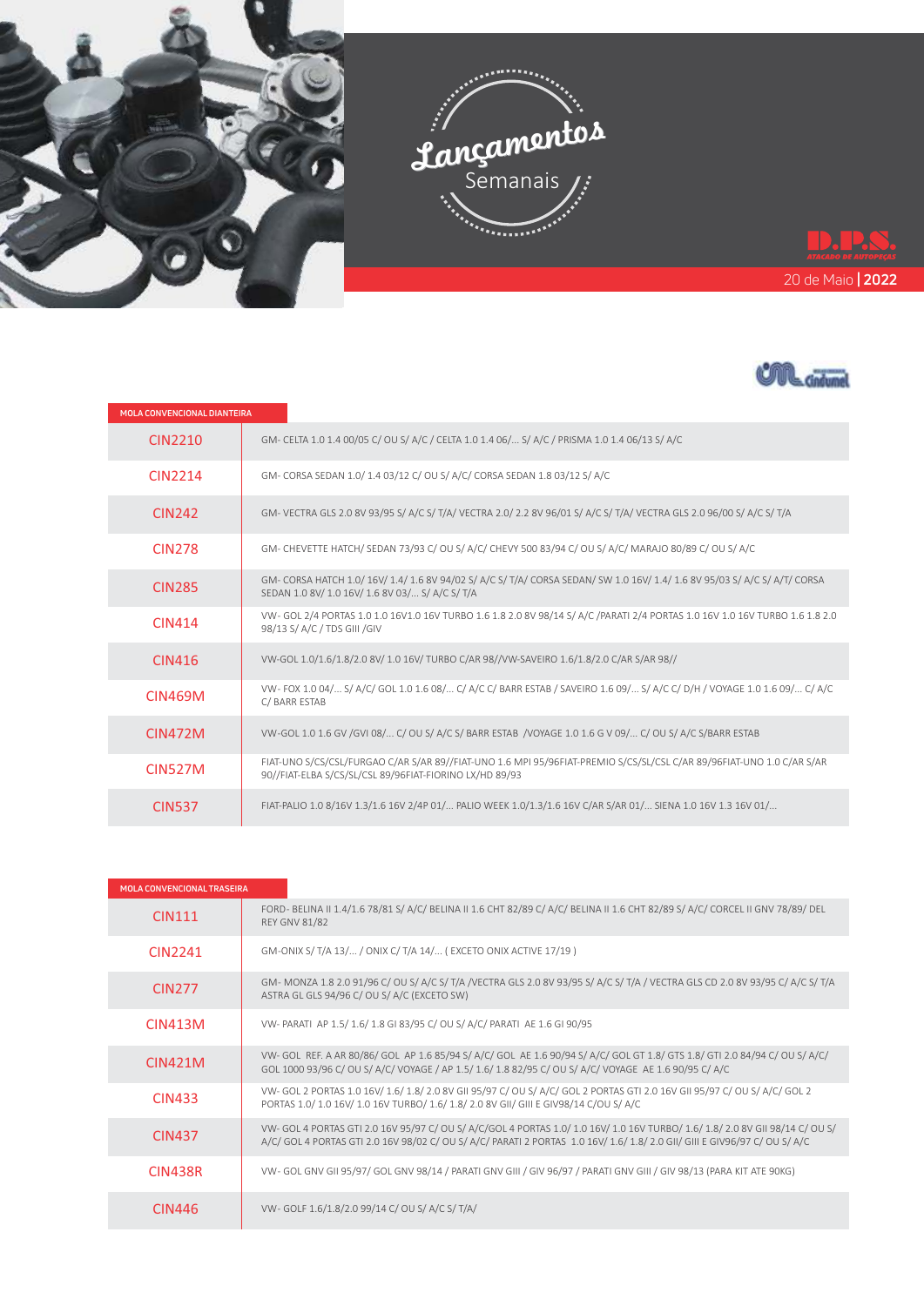



| MOLA CONVENCIONAL DIANTEIRA |                                                                                                                                                                                  |  |
|-----------------------------|----------------------------------------------------------------------------------------------------------------------------------------------------------------------------------|--|
| <b>CIN2210</b>              | GM- CELTA 1.0 1.4 00/05 C/ OU S/ A/C / CELTA 1.0 1.4 06/ S/ A/C / PRISMA 1.0 1.4 06/13 S/ A/C                                                                                    |  |
| CIN <sub>2214</sub>         | GM- CORSA SEDAN 1.0/1.4 03/12 C/OU S/A/C/CORSA SEDAN 1.8 03/12 S/A/C                                                                                                             |  |
| <b>CIN242</b>               | GM-VECTRA GLS 2.0 8V 93/95 S/A/C S/T/A/VECTRA 2.0/2.2 8V 96/01 S/A/C S/T/A/VECTRA GLS 2.0 96/00 S/A/C S/T/A                                                                      |  |
| <b>CIN278</b>               | GM-CHEVETTE HATCH/SEDAN 73/93 C/OUS/A/C/CHEVY 500 83/94 C/OUS/A/C/MARAJO 80/89 C/OUS/A/C                                                                                         |  |
| <b>CIN285</b>               | GM-CORSA HATCH 1.0/16V/1.4/1.6 8V 94/02 S/A/C S/T/A/CORSA SEDAN/SW 1.0 16V/1.4/1.6 8V 95/03 S/A/C S/A/T/CORSA<br>SEDAN 1.0 8V/ 1.0 16V/ 1.6 8V 03/ S/ A/C S/ T/A                 |  |
| CIN414                      | VW- GOL 2/4 PORTAS 1.0 1.0 16V1.0 16V TURBO 1.6 1.8 2.0 8V 98/14 S/ A/C /PARATI 2/4 PORTAS 1.0 16V 1.0 16V TURBO 1.6 1.8 2.0<br>98/13 S/ A/C / TDS GIII / GIV                    |  |
| <b>CIN416</b>               | VW-GOL 1.0/1.6/1.8/2.0 8V/ 1.0 16V/ TURBO C/AR 98//VW-SAVEIRO 1.6/1.8/2.0 C/AR S/AR 98//                                                                                         |  |
| CIN469M                     | VW-FOX 1.0 04/ S/A/C/GOL 1.0 1.6 08/ C/A/C C/BARR ESTAB / SAVEIRO 1.6 09/ S/A/C C/D/H / VOYAGE 1.0 1.6 09/ C/A/C<br>C/BARR ESTAB                                                 |  |
| <b>CIN472M</b>              | VW-GOL 1.0 1.6 GV / GVI 08/ C/ OU S/ A/C S/ BARR ESTAB / VOYAGE 1.0 1.6 G V 09/ C/ OU S/ A/C S/BARR ESTAB                                                                        |  |
| <b>CIN527M</b>              | FIAT-UNO S/CS/CSL/FURGAO C/AR S/AR 89//FIAT-UNO 1.6 MPI 95/96FIAT-PREMIO S/CS/SL/CSL C/AR 89/96FIAT-UNO 1.0 C/AR S/AR<br>90//FIAT-ELBA S/CS/SL/CSL 89/96FIAT-FIORINO LX/HD 89/93 |  |
| <b>CIN537</b>               | FIAT-PALIO 1.0 8/16V 1.3/1.6 16V 2/4P 01/ PALIO WEEK 1.0/1.3/1.6 16V C/AR S/AR 01/ SIENA 1.0 16V 1.3 16V 01/                                                                     |  |

| <b>MOLA CONVENCIONAL TRASEIRA</b> |                                                                                                                                                                                                                                                             |
|-----------------------------------|-------------------------------------------------------------------------------------------------------------------------------------------------------------------------------------------------------------------------------------------------------------|
| <b>CIN111</b>                     | FORD-BELINA II 1.4/1.6 78/81 S/A/C/BELINA II 1.6 CHT 82/89 C/A/C/BELINA II 1.6 CHT 82/89 S/A/C/CORCEL II GNV 78/89/DEL<br><b>REY GNV 81/82</b>                                                                                                              |
| CIN2241                           | GM-ONIX S/ T/A 13/ / ONIX C/ T/A 14/ (EXCETO ONIX ACTIVE 17/19)                                                                                                                                                                                             |
| <b>CIN277</b>                     | GM-MONZA 1.8 2.0 91/96 C/OU S/A/C S/T/A /VECTRA GLS 2.0 8V 93/95 S/A/C S/T/A / VECTRA GLS CD 2.0 8V 93/95 C/A/C S/T/A<br>ASTRA GL GLS 94/96 C/ OU S/ A/C (EXCETO SW)                                                                                        |
| CIN413M                           | VW- PARATI AP 1.5/1.6/1.8 GI 83/95 C/OU S/A/C/ PARATI AE 1.6 GI 90/95                                                                                                                                                                                       |
| <b>CIN421M</b>                    | VW- GOL REF. A AR 80/86/ GOL AP 1.6 85/94 S/ A/C/ GOL AE 1.6 90/94 S/ A/C/ GOL GT 1.8/ GTS 1.8/ GTI 2.0 84/94 C/ OU S/ A/C/<br>GOL 1000 93/96 C/OU S/ A/C/ VOYAGE / AP 1.5/ 1.6/ 1.8 82/95 C/OU S/ A/C/ VOYAGE AE 1.6 90/95 C/ A/C                          |
| <b>CIN433</b>                     | VW- GOL 2 PORTAS 1.0 16V/ 1.6/ 1.8/ 2.0 8V GII 95/97 C/ OU S/ A/C/ GOL 2 PORTAS GTI 2.0 16V GII 95/97 C/ OU S/ A/C/ GOL 2<br>PORTAS 1.0/ 1.0 16V/ 1.0 16V TURBO/ 1.6/ 1.8/ 2.0 8V GII/ GIII E GIV98/14 C/OU S/ A/C                                          |
| CIN437                            | VW- GOL 4 PORTAS GTI 2.0 16V 95/97 C/ OU S/ A/C/GOL 4 PORTAS 1.0/ 1.0 16V/ 1.0 16V TURBO/ 1.6/ 1.8/ 2.0 8V GII 98/14 C/ OU S/<br>A/C/ GOL 4 PORTAS GTI 2.0 16V 98/02 C/ OU S/ A/C/ PARATI 2 PORTAS 1.0 16V/ 1.6/ 1.8/ 2.0 GII/ GIII E GIV96/97 C/ OU S/ A/C |
| CIN438R                           | VW- GOL GNV GII 95/97/ GOL GNV 98/14 / PARATI GNV GIII / GIV 96/97 / PARATI GNV GIII / GIV 98/13 (PARA KIT ATE 90KG)                                                                                                                                        |
| CIN446                            | VW-GOLF 1.6/1.8/2.0 99/14 C/OU S/A/C S/T/A/                                                                                                                                                                                                                 |